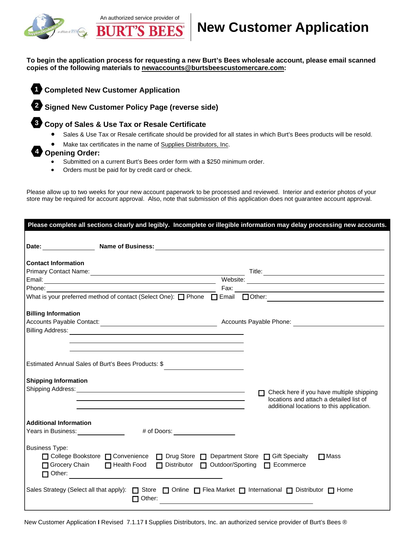



**To begin the application process for requesting a new Burt's Bees wholesale account, please email scanned copies of the following materials to newaccounts@burtsbeescustomercare.com:** 



# **1** Completed New Customer Application

**Signed New Customer Policy Page (reverse side) 2** 

# **Copy of Sales & Use Tax or Resale Certificate 3**

- Sales & Use Tax or Resale certificate should be provided for all states in which Burt's Bees products will be resold.
- Make tax certificates in the name of Supplies Distributors, Inc.

## **Opening Order: 4**

- Submitted on a current Burt's Bees order form with a \$250 minimum order.
- Orders must be paid for by credit card or check.

Please allow up to two weeks for your new account paperwork to be processed and reviewed. Interior and exterior photos of your store may be required for account approval. Also, note that submission of this application does not guarantee account approval.

| <b>Contact Information</b><br>What is your preferred method of contact (Select One): net Phone net Email net Other:<br><b>Billing Information</b><br>Estimated Annual Sales of Burt's Bees Products: \$<br><b>Shipping Information</b><br><b>Additional Information</b><br># of Doors: ____________________<br>Years in Business: ________________<br><b>Business Type:</b><br>□ College Bookstore □ Convenience □ Drug Store □ Department Store □ Gift Specialty<br>□ Grocery Chain □ Health Food □ Distributor □ Outdoor/Sporting □ Ecommerce<br>$\Box$ Other:<br><u> 1980 - Jan Samuel Barbara, margaret e populazion del control del control del control del control de la provi</u> |                                                                                                                                                                                                                                      |
|------------------------------------------------------------------------------------------------------------------------------------------------------------------------------------------------------------------------------------------------------------------------------------------------------------------------------------------------------------------------------------------------------------------------------------------------------------------------------------------------------------------------------------------------------------------------------------------------------------------------------------------------------------------------------------------|--------------------------------------------------------------------------------------------------------------------------------------------------------------------------------------------------------------------------------------|
|                                                                                                                                                                                                                                                                                                                                                                                                                                                                                                                                                                                                                                                                                          |                                                                                                                                                                                                                                      |
|                                                                                                                                                                                                                                                                                                                                                                                                                                                                                                                                                                                                                                                                                          |                                                                                                                                                                                                                                      |
|                                                                                                                                                                                                                                                                                                                                                                                                                                                                                                                                                                                                                                                                                          | Website: <u>www.common.common.com/instantial/instantial/instantial/instantial/instantial/instantial/instantial/instantial/instantial/instantial/instantial/instantial/instantial/instantial/instantial/instantial/instantial/ins</u> |
|                                                                                                                                                                                                                                                                                                                                                                                                                                                                                                                                                                                                                                                                                          |                                                                                                                                                                                                                                      |
|                                                                                                                                                                                                                                                                                                                                                                                                                                                                                                                                                                                                                                                                                          |                                                                                                                                                                                                                                      |
|                                                                                                                                                                                                                                                                                                                                                                                                                                                                                                                                                                                                                                                                                          |                                                                                                                                                                                                                                      |
|                                                                                                                                                                                                                                                                                                                                                                                                                                                                                                                                                                                                                                                                                          |                                                                                                                                                                                                                                      |
|                                                                                                                                                                                                                                                                                                                                                                                                                                                                                                                                                                                                                                                                                          |                                                                                                                                                                                                                                      |
|                                                                                                                                                                                                                                                                                                                                                                                                                                                                                                                                                                                                                                                                                          |                                                                                                                                                                                                                                      |
|                                                                                                                                                                                                                                                                                                                                                                                                                                                                                                                                                                                                                                                                                          |                                                                                                                                                                                                                                      |
|                                                                                                                                                                                                                                                                                                                                                                                                                                                                                                                                                                                                                                                                                          |                                                                                                                                                                                                                                      |
|                                                                                                                                                                                                                                                                                                                                                                                                                                                                                                                                                                                                                                                                                          |                                                                                                                                                                                                                                      |
|                                                                                                                                                                                                                                                                                                                                                                                                                                                                                                                                                                                                                                                                                          |                                                                                                                                                                                                                                      |
|                                                                                                                                                                                                                                                                                                                                                                                                                                                                                                                                                                                                                                                                                          |                                                                                                                                                                                                                                      |
|                                                                                                                                                                                                                                                                                                                                                                                                                                                                                                                                                                                                                                                                                          | Check here if you have multiple shipping                                                                                                                                                                                             |
|                                                                                                                                                                                                                                                                                                                                                                                                                                                                                                                                                                                                                                                                                          | locations and attach a detailed list of<br>additional locations to this application.                                                                                                                                                 |
|                                                                                                                                                                                                                                                                                                                                                                                                                                                                                                                                                                                                                                                                                          |                                                                                                                                                                                                                                      |
|                                                                                                                                                                                                                                                                                                                                                                                                                                                                                                                                                                                                                                                                                          |                                                                                                                                                                                                                                      |
|                                                                                                                                                                                                                                                                                                                                                                                                                                                                                                                                                                                                                                                                                          |                                                                                                                                                                                                                                      |
|                                                                                                                                                                                                                                                                                                                                                                                                                                                                                                                                                                                                                                                                                          |                                                                                                                                                                                                                                      |
|                                                                                                                                                                                                                                                                                                                                                                                                                                                                                                                                                                                                                                                                                          |                                                                                                                                                                                                                                      |
|                                                                                                                                                                                                                                                                                                                                                                                                                                                                                                                                                                                                                                                                                          | $\Box$ Mass                                                                                                                                                                                                                          |
|                                                                                                                                                                                                                                                                                                                                                                                                                                                                                                                                                                                                                                                                                          |                                                                                                                                                                                                                                      |
|                                                                                                                                                                                                                                                                                                                                                                                                                                                                                                                                                                                                                                                                                          |                                                                                                                                                                                                                                      |
|                                                                                                                                                                                                                                                                                                                                                                                                                                                                                                                                                                                                                                                                                          |                                                                                                                                                                                                                                      |
| Sales Strategy (Select all that apply): $\Box$ Store $\Box$ Online $\Box$ Flea Market $\Box$ International $\Box$ Distributor $\Box$ Home                                                                                                                                                                                                                                                                                                                                                                                                                                                                                                                                                |                                                                                                                                                                                                                                      |
| $\Box$ Other:<br><u> 1980 - John Stein, Amerikaansk politiker (</u> † 1920)                                                                                                                                                                                                                                                                                                                                                                                                                                                                                                                                                                                                              |                                                                                                                                                                                                                                      |

New Customer Application **I** Revised 7.1.17 **I** Supplies Distributors, Inc. an authorized service provider of Burt's Bees ®